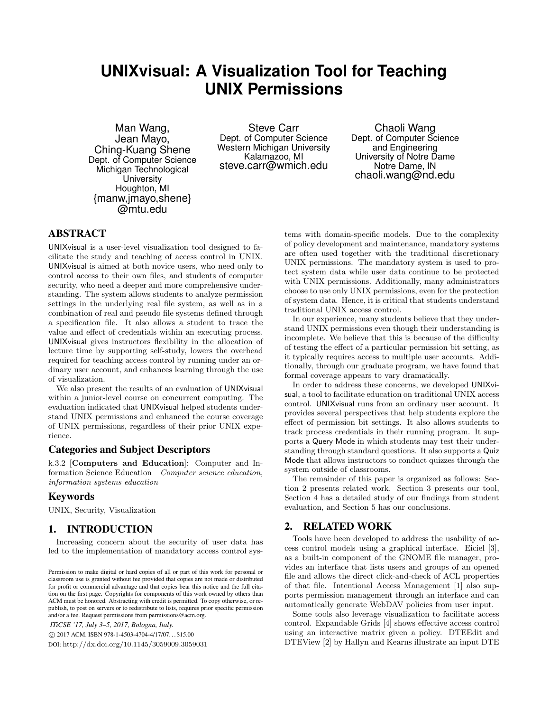# **UNIXvisual: A Visualization Tool for Teaching UNIX Permissions**

Man Wang, Jean Mayo, Ching-Kuang Shene Dept. of Computer Science Michigan Technological **University** Houghton, MI {manw,jmayo,shene} @mtu.edu

Steve Carr Dept. of Computer Science Western Michigan University Kalamazoo, MI steve.carr@wmich.edu

Chaoli Wang Dept. of Computer Science and Engineering University of Notre Dame Notre Dame, IN chaoli.wang@nd.edu

# ABSTRACT

UNIXvisual is a user-level visualization tool designed to facilitate the study and teaching of access control in UNIX. UNIXvisual is aimed at both novice users, who need only to control access to their own files, and students of computer security, who need a deeper and more comprehensive understanding. The system allows students to analyze permission settings in the underlying real file system, as well as in a combination of real and pseudo file systems defined through a specification file. It also allows a student to trace the value and effect of credentials within an executing process. UNIXvisual gives instructors flexibility in the allocation of lecture time by supporting self-study, lowers the overhead required for teaching access control by running under an ordinary user account, and enhances learning through the use of visualization.

We also present the results of an evaluation of UNIXvisual within a junior-level course on concurrent computing. The evaluation indicated that UNIXvisual helped students understand UNIX permissions and enhanced the course coverage of UNIX permissions, regardless of their prior UNIX experience.

#### Categories and Subject Descriptors

k.3.2 [Computers and Education]: Computer and Information Science Education—Computer science education, information systems education

#### Keywords

UNIX, Security, Visualization

## 1. INTRODUCTION

Increasing concern about the security of user data has led to the implementation of mandatory access control sys-

*ITiCSE '17, July 3–5, 2017, Bologna, Italy.*

c 2017 ACM. ISBN 978-1-4503-4704-4/17/07. . . \$15.00

DOI: http://dx.doi.org/10.1145/3059009.3059031

tems with domain-specific models. Due to the complexity of policy development and maintenance, mandatory systems are often used together with the traditional discretionary UNIX permissions. The mandatory system is used to protect system data while user data continue to be protected with UNIX permissions. Additionally, many administrators choose to use only UNIX permissions, even for the protection of system data. Hence, it is critical that students understand traditional UNIX access control.

In our experience, many students believe that they understand UNIX permissions even though their understanding is incomplete. We believe that this is because of the difficulty of testing the effect of a particular permission bit setting, as it typically requires access to multiple user accounts. Additionally, through our graduate program, we have found that formal coverage appears to vary dramatically.

In order to address these concerns, we developed UNIXvisual, a tool to facilitate education on traditional UNIX access control. UNIXvisual runs from an ordinary user account. It provides several perspectives that help students explore the effect of permission bit settings. It also allows students to track process credentials in their running program. It supports a Query Mode in which students may test their understanding through standard questions. It also supports a Quiz Mode that allows instructors to conduct quizzes through the system outside of classrooms.

The remainder of this paper is organized as follows: Section 2 presents related work. Section 3 presents our tool, Section 4 has a detailed study of our findings from student evaluation, and Section 5 has our conclusions.

## 2. RELATED WORK

Tools have been developed to address the usability of access control models using a graphical interface. Eiciel [3], as a built-in component of the GNOME file manager, provides an interface that lists users and groups of an opened file and allows the direct click-and-check of ACL properties of that file. Intentional Access Management [1] also supports permission management through an interface and can automatically generate WebDAV policies from user input.

Some tools also leverage visualization to facilitate access control. Expandable Grids [4] shows effective access control using an interactive matrix given a policy. DTEEdit and DTEView [2] by Hallyn and Kearns illustrate an input DTE

Permission to make digital or hard copies of all or part of this work for personal or classroom use is granted without fee provided that copies are not made or distributed for profit or commercial advantage and that copies bear this notice and the full citation on the first page. Copyrights for components of this work owned by others than ACM must be honored. Abstracting with credit is permitted. To copy otherwise, or republish, to post on servers or to redistribute to lists, requires prior specific permission and/or a fee. Request permissions from permissions@acm.org.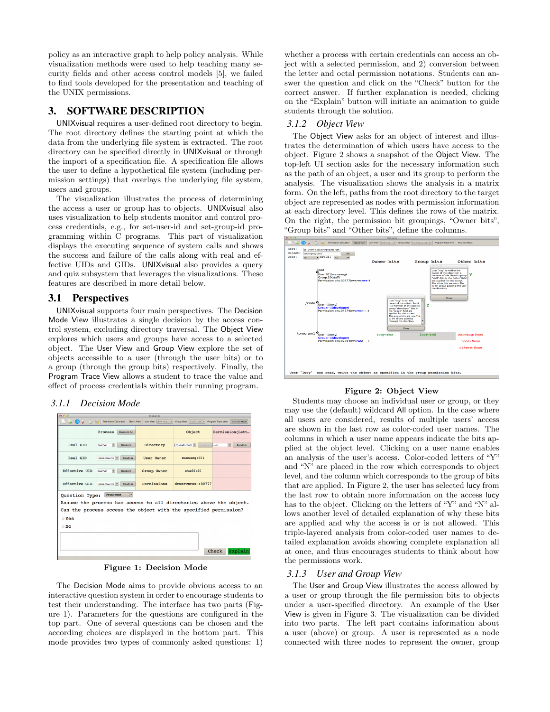policy as an interactive graph to help policy analysis. While visualization methods were used to help teaching many security fields and other access control models [5], we failed to find tools developed for the presentation and teaching of the UNIX permissions.

## 3. SOFTWARE DESCRIPTION

UNIXvisual requires a user-defined root directory to begin. The root directory defines the starting point at which the data from the underlying file system is extracted. The root directory can be specified directly in UNIXvisual or through the import of a specification file. A specification file allows the user to define a hypothetical file system (including permission settings) that overlays the underlying file system, users and groups.

The visualization illustrates the process of determining the access a user or group has to objects. UNIXvisual also uses visualization to help students monitor and control process credentials, e.g., for set-user-id and set-group-id programming within C programs. This part of visualization displays the executing sequence of system calls and shows the success and failure of the calls along with real and effective UIDs and GIDs. UNIXvisual also provides a query and quiz subsystem that leverages the visualizations. These features are described in more detail below.

#### 3.1 Perspectives

UNIXvisual supports four main perspectives. The Decision Mode View illustrates a single decision by the access control system, excluding directory traversal. The Object View explores which users and groups have access to a selected object. The User View and Group View explore the set of objects accessible to a user (through the user bits) or to a group (through the group bits) respectively. Finally, the Program Trace View allows a student to trace the value and effect of process credentials within their running program.

#### *3.1.1 Decision Mode*



Figure 1: Decision Mode

The Decision Mode aims to provide obvious access to an interactive question system in order to encourage students to test their understanding. The interface has two parts (Figure 1). Parameters for the questions are configured in the top part. One of several questions can be chosen and the according choices are displayed in the bottom part. This mode provides two types of commonly asked questions: 1) whether a process with certain credentials can access an object with a selected permission, and 2) conversion between the letter and octal permission notations. Students can answer the question and click on the "Check" button for the correct answer. If further explanation is needed, clicking on the "Explain" button will initiate an animation to guide students through the solution.

#### *3.1.2 Object View*

The Object View asks for an object of interest and illustrates the determination of which users have access to the object. Figure 2 shows a snapshot of the Object View. The top-left UI section asks for the necessary information such as the path of an object, a user and its group to perform the analysis. The visualization shows the analysis in a matrix form. On the left, paths from the root directory to the target object are represented as nodes with permission information at each directory level. This defines the rows of the matrix. On the right, the permission bit groupings, "Owner bits", "Group bits" and "Other bits", define the columns.



#### Figure 2: Object View

Students may choose an individual user or group, or they may use the (default) wildcard All option. In the case where all users are considered, results of multiple users' access are shown in the last row as color-coded user names. The columns in which a user name appears indicate the bits applied at the object level. Clicking on a user name enables an analysis of the user's access. Color-coded letters of "Y" and "N" are placed in the row which corresponds to object level, and the column which corresponds to the group of bits that are applied. In Figure 2, the user has selected lucy from the last row to obtain more information on the access lucy has to the object. Clicking on the letters of "Y" and "N" allows another level of detailed explanation of why these bits are applied and why the access is or is not allowed. This triple-layered analysis from color-coded user names to detailed explanation avoids showing complete explanation all at once, and thus encourages students to think about how the permissions work.

#### *3.1.3 User and Group View*

The User and Group View illustrates the access allowed by a user or group through the file permission bits to objects under a user-specified directory. An example of the User View is given in Figure 3. The visualization can be divided into two parts. The left part contains information about a user (above) or group. A user is represented as a node connected with three nodes to represent the owner, group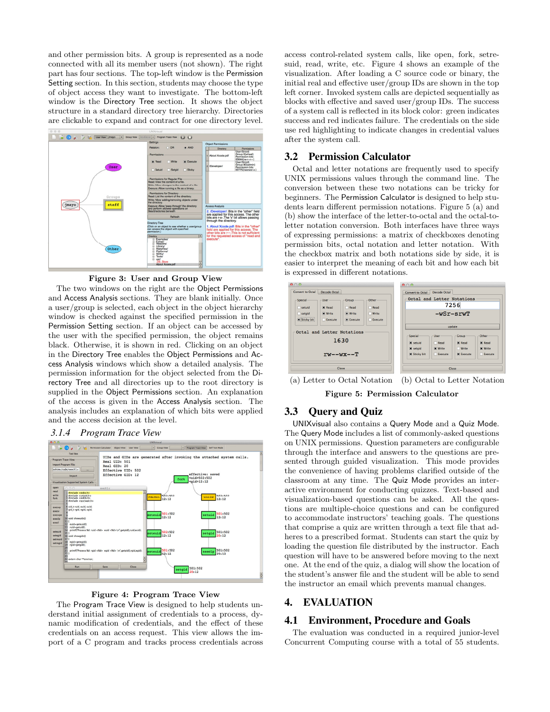and other permission bits. A group is represented as a node connected with all its member users (not shown). The right part has four sections. The top-left window is the Permission Setting section. In this section, students may choose the type of object access they want to investigate. The bottom-left window is the Directory Tree section. It shows the object structure in a standard directory tree hierarchy. Directories are clickable to expand and contract for one directory level.



Figure 3: User and Group View

The two windows on the right are the Object Permissions and Access Analysis sections. They are blank initially. Once a user/group is selected, each object in the object hierarchy window is checked against the specified permission in the Permission Setting section. If an object can be accessed by the user with the specified permission, the object remains black. Otherwise, it is shown in red. Clicking on an object in the Directory Tree enables the Object Permissions and Access Analysis windows which show a detailed analysis. The permission information for the object selected from the Directory Tree and all directories up to the root directory is supplied in the Object Permissions section. An explanation of the access is given in the Access Analysis section. The analysis includes an explanation of which bits were applied and the access decision at the level.

#### *3.1.4 Program Trace View*



#### Figure 4: Program Trace View

The Program Trace View is designed to help students understand initial assignment of credentials to a process, dynamic modification of credentials, and the effect of these credentials on an access request. This view allows the import of a C program and tracks process credentials across access control-related system calls, like open, fork, setresuid, read, write, etc. Figure 4 shows an example of the visualization. After loading a C source code or binary, the initial real and effective user/group IDs are shown in the top left corner. Invoked system calls are depicted sequentially as blocks with effective and saved user/group IDs. The success of a system call is reflected in its block color: green indicates success and red indicates failure. The credentials on the side use red highlighting to indicate changes in credential values after the system call.

#### 3.2 Permission Calculator

Octal and letter notations are frequently used to specify UNIX permissions values through the command line. The conversion between these two notations can be tricky for beginners. The Permission Calculator is designed to help students learn different permission notations. Figure 5 (a) and (b) show the interface of the letter-to-octal and the octal-toletter notation conversion. Both interfaces have three ways of expressing permissions: a matrix of checkboxes denoting permission bits, octal notation and letter notation. With the checkbox matrix and both notations side by side, it is easier to interpret the meaning of each bit and how each bit is expressed in different notations.



(a) Letter to Octal Notation (b) Octal to Letter Notation

Figure 5: Permission Calculator

## 3.3 Query and Quiz

UNIXvisual also contains a Query Mode and a Quiz Mode. The Query Mode includes a list of commonly-asked questions on UNIX permissions. Question parameters are configurable through the interface and answers to the questions are presented through guided visualization. This mode provides the convenience of having problems clarified outside of the classroom at any time. The Quiz Mode provides an interactive environment for conducting quizzes. Text-based and visualization-based questions can be asked. All the questions are multiple-choice questions and can be configured to accommodate instructors' teaching goals. The questions that comprise a quiz are written through a text file that adheres to a prescribed format. Students can start the quiz by loading the question file distributed by the instructor. Each question will have to be answered before moving to the next one. At the end of the quiz, a dialog will show the location of the student's answer file and the student will be able to send the instructor an email which prevents manual changes.

## 4. EVALUATION

#### 4.1 Environment, Procedure and Goals

The evaluation was conducted in a required junior-level Concurrent Computing course with a total of 55 students.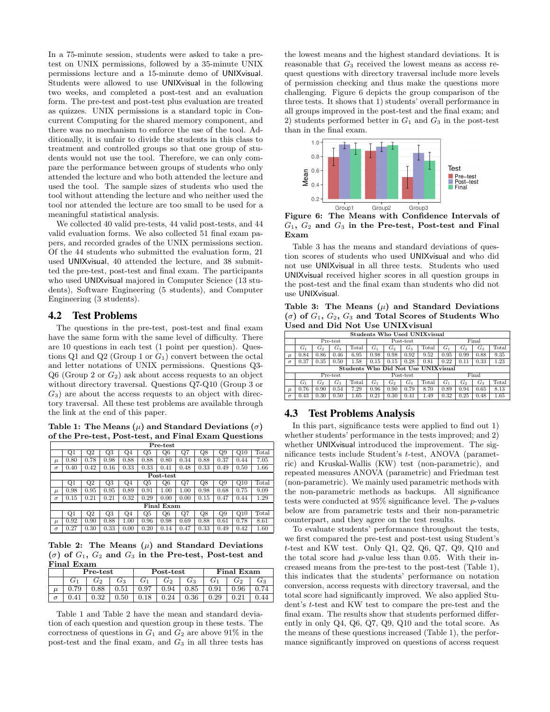In a 75-minute session, students were asked to take a pretest on UNIX permissions, followed by a 35-minute UNIX permissions lecture and a 15-minute demo of UNIXvisual. Students were allowed to use UNIXvisual in the following two weeks, and completed a post-test and an evaluation form. The pre-test and post-test plus evaluation are treated as quizzes. UNIX permissions is a standard topic in Concurrent Computing for the shared memory component, and there was no mechanism to enforce the use of the tool. Additionally, it is unfair to divide the students in this class to treatment and controlled groups so that one group of students would not use the tool. Therefore, we can only compare the performance between groups of students who only attended the lecture and who both attended the lecture and used the tool. The sample sizes of students who used the tool without attending the lecture and who neither used the tool nor attended the lecture are too small to be used for a meaningful statistical analysis.

We collected 40 valid pre-tests, 44 valid post-tests, and 44 valid evaluation forms. We also collected 51 final exam papers, and recorded grades of the UNIX permissions section. Of the 44 students who submitted the evaluation form, 21 used UNIXvisual, 40 attended the lecture, and 38 submitted the pre-test, post-test and final exam. The participants who used UNIXvisual majored in Computer Science (13 students), Software Engineering (5 students), and Computer Engineering (3 students).

#### 4.2 Test Problems

The questions in the pre-test, post-test and final exam have the same form with the same level of difficulty. There are 10 questions in each test (1 point per question). Questions  $Q1$  and  $Q2$  (Group 1 or  $G_1$ ) convert between the octal and letter notations of UNIX permissions. Questions Q3-  $Q6$  (Group 2 or  $G_2$ ) ask about access requests to an object without directory traversal. Questions Q7-Q10 (Group 3 or  $G_3$ ) are about the access requests to an object with directory traversal. All these test problems are available through the link at the end of this paper.

Table 1: The Means  $(\mu)$  and Standard Deviations  $(\sigma)$ of the Pre-test, Post-test, and Final Exam Questions

| Pre-test |            |             |      |      |      |      |      |      |             |              |       |
|----------|------------|-------------|------|------|------|------|------|------|-------------|--------------|-------|
|          | Q1         | $_{\rm Q2}$ | Q3   | Q4   | Q5   | Q6   | Q7   | Q8   | Q9          | Q10          | Total |
| $\mu$    | 0.80       | 0.78        | 0.98 | 0.88 | 0.88 | 0.80 | 0.34 | 0.88 | 0.37        | 0.44         | 7.05  |
| $\sigma$ | 0.40       | 0.42        | 0.16 | 0.33 | 0.33 | 0.41 | 0.48 | 0.33 | 0.49        | 0.50         | 1.66  |
|          | Post-test  |             |      |      |      |      |      |      |             |              |       |
|          | Q1         | Q2          | Q3   | Q4   | Q5   | Q6   | Q7   | Q8   | Q9          | $_{\rm Q10}$ | Total |
| $\mu$    | 0.98       | 0.95        | 0.95 | 0.89 | 0.91 | 1.00 | 1.00 | 0.98 | 0.68        | 0.75         | 9.09  |
| $\sigma$ | 0.15       | 0.21        | 0.21 | 0.32 | 0.29 | 0.00 | 0.00 | 0.15 | 0.47        | 0.44         | 1.29  |
|          | Final Exam |             |      |      |      |      |      |      |             |              |       |
|          | Q1         | $_{\rm Q2}$ | Q3   | Q4   | Q5   | Q6   | Q7   | Q8   | $_{\rm Q9}$ | Q10          | Total |
| $\mu$    | 0.92       | 0.90        | 0.88 | 1.00 | 0.96 | 0.98 | 0.69 | 0.88 | 0.61        | 0.78         | 8.61  |
| $\sigma$ | 0.27       | 0.30        | 0.33 | 0.00 | 0.20 | 0.14 | 0.47 | 0.33 | 0.49        | 0.42         | 1.60  |

Table 2: The Means  $(\mu)$  and Standard Deviations  $(\sigma)$  of  $G_1$ ,  $G_2$  and  $G_3$  in the Pre-test, Post-test and Final Exam

|         | $_{\mathrm{Pre-test}}$ |            |      | $\rm Post\text{-}test$ |          | Final Exam |      |  |  |
|---------|------------------------|------------|------|------------------------|----------|------------|------|--|--|
|         | G2                     | Gз         | G1   | G2                     | Эз       |            | J2   |  |  |
| $_{II}$ | 0.88                   | $_{0.51}$  | 0.97 | 0.94                   | $0.85\,$ | $_{0.91}$  | 0.96 |  |  |
|         | $\rm 0.32$             | $\rm 0.50$ |      | 24                     | 0.36     | $_{0.29}$  |      |  |  |

Table 1 and Table 2 have the mean and standard deviation of each question and question group in these tests. The correctness of questions in  $G_1$  and  $G_2$  are above 91% in the post-test and the final exam, and  $G_3$  in all three tests has the lowest means and the highest standard deviations. It is reasonable that  $G_3$  received the lowest means as access request questions with directory traversal include more levels of permission checking and thus make the questions more challenging. Figure 6 depicts the group comparison of the three tests. It shows that 1) students' overall performance in all groups improved in the post-test and the final exam; and 2) students performed better in  $G_1$  and  $G_3$  in the post-test than in the final exam.



Figure 6: The Means with Confidence Intervals of  $G_1, G_2$  and  $G_3$  in the Pre-test, Post-test and Final Exam

Table 3 has the means and standard deviations of question scores of students who used UNIXvisual and who did not use UNIXvisual in all three tests. Students who used UNIXvisual received higher scores in all question groups in the post-test and the final exam than students who did not use UNIXvisual.

Table 3: The Means  $(\mu)$  and Standard Deviations  $(\sigma)$  of  $G_1, G_2, G_3$  and Total Scores of Students Who Used and Did Not Use UNIXvisual

| Students Who Used UNIXvisual         |       |       |          |       |           |       |           |                |       |       |       |       |
|--------------------------------------|-------|-------|----------|-------|-----------|-------|-----------|----------------|-------|-------|-------|-------|
|                                      |       |       | Pre-test |       |           |       | Post-test |                | Final |       |       |       |
|                                      | $G_1$ | $G_2$ | $G_3$    | Total | $G_1$     | $G_2$ | $G_3$     | $_{\rm Total}$ | $G_1$ | $G_2$ | $G_3$ | Total |
| $\mu$                                | 0.84  | 0.86  | 0.46     | 6.95  | 0.98      | 0.98  | 0.92      | 9.52           | 0.95  | 0.99  | 0.88  | 9.35  |
| $\sigma$                             | 0.37  | 0.35  | 0.50     | 1.58  | 0.15      | 0.15  | 0.28      | 0.81           | 0.22  | 0.11  | 0.33  | 1.23  |
| Students Who Did Not Use UNIX visual |       |       |          |       |           |       |           |                |       |       |       |       |
|                                      |       |       | Pre-test |       | Post-test |       |           |                | Final |       |       |       |
|                                      | $G_1$ | $G_2$ | $G_3$    | Total | $G_1$     | $G_2$ | $G_3$     | $_{\rm Total}$ | $G_1$ | $G_2$ | $G_3$ | Total |
| $\mu$                                | 0.76  | 0.90  | 0.54     | 7.29  | 0.96      | 0.90  | 0.79      | 8.70           | 0.89  | 0.94  | 0.65  | 8.13  |
| $\sigma$                             | 0.43  | 0.30  | 0.50     | 1.65  | 0.21      | 0.30  | 0.41      | 1.49           | 0.32  | 0.25  | 0.48  | 1.65  |

#### 4.3 Test Problems Analysis

In this part, significance tests were applied to find out 1) whether students' performance in the tests improved; and 2) whether UNIXvisual introduced the improvement. The significance tests include Student's t-test, ANOVA (parametric) and Kruskal-Wallis (KW) test (non-parametric), and repeated measures ANOVA (parametric) and Friedman test (non-parametric). We mainly used parametric methods with the non-parametric methods as backups. All significance tests were conducted at 95% significance level. The p-values below are from parametric tests and their non-parametric counterpart, and they agree on the test results.

To evaluate students' performance throughout the tests, we first compared the pre-test and post-test using Student's  $t$ -test and KW test. Only Q1, Q2, Q6, Q7, Q9, Q10 and the total score had p-value less than 0.05. With their increased means from the pre-test to the post-test (Table 1), this indicates that the students' performance on notation conversion, access requests with directory traversal, and the total score had significantly improved. We also applied Student's t-test and KW test to compare the pre-test and the final exam. The results show that students performed differently in only Q4, Q6, Q7, Q9, Q10 and the total score. As the means of these questions increased (Table 1), the performance significantly improved on questions of access request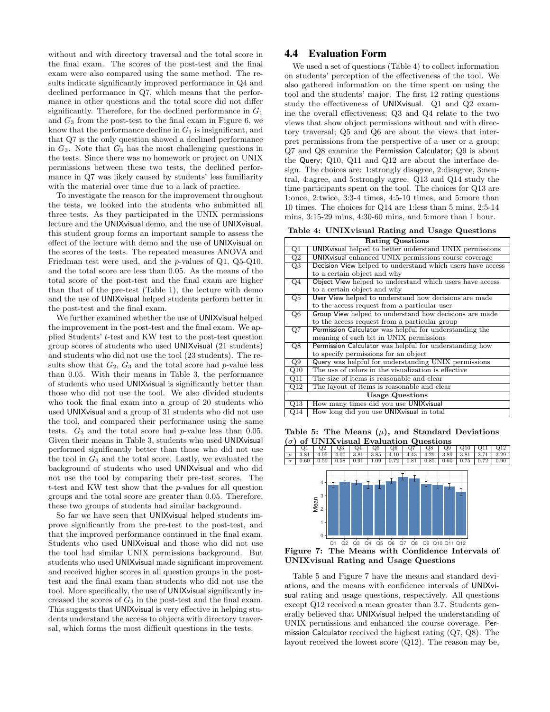without and with directory traversal and the total score in the final exam. The scores of the post-test and the final exam were also compared using the same method. The results indicate significantly improved performance in Q4 and declined performance in Q7, which means that the performance in other questions and the total score did not differ significantly. Therefore, for the declined performance in  $G_1$ and  $G_3$  from the post-test to the final exam in Figure 6, we know that the performance decline in  $G_1$  is insignificant, and that Q7 is the only question showed a declined performance in  $G_3$ . Note that  $G_3$  has the most challenging questions in the tests. Since there was no homework or project on UNIX permissions between these two tests, the declined performance in Q7 was likely caused by students' less familiarity with the material over time due to a lack of practice.

To investigate the reason for the improvement throughout the tests, we looked into the students who submitted all three tests. As they participated in the UNIX permissions lecture and the UNIXvisual demo, and the use of UNIXvisual, this student group forms an important sample to assess the effect of the lecture with demo and the use of UNIXvisual on the scores of the tests. The repeated measures ANOVA and Friedman test were used, and the p-values of Q1, Q5-Q10, and the total score are less than 0.05. As the means of the total score of the post-test and the final exam are higher than that of the pre-test (Table 1), the lecture with demo and the use of UNIXvisual helped students perform better in the post-test and the final exam.

We further examined whether the use of UNIXvisual helped the improvement in the post-test and the final exam. We applied Students' t-test and KW test to the post-test question group scores of students who used UNIXvisual (21 students) and students who did not use the tool (23 students). The results show that  $G_2$ ,  $G_3$  and the total score had p-value less than 0.05. With their means in Table 3, the performance of students who used UNIXvisual is significantly better than those who did not use the tool. We also divided students who took the final exam into a group of 20 students who used UNIXvisual and a group of 31 students who did not use the tool, and compared their performance using the same tests.  $G_3$  and the total score had p-value less than 0.05. Given their means in Table 3, students who used UNIXvisual performed significantly better than those who did not use the tool in  $G_3$  and the total score. Lastly, we evaluated the background of students who used UNIXvisual and who did not use the tool by comparing their pre-test scores. The t-test and KW test show that the p-values for all question groups and the total score are greater than 0.05. Therefore, these two groups of students had similar background.

So far we have seen that UNIXvisual helped students improve significantly from the pre-test to the post-test, and that the improved performance continued in the final exam. Students who used UNIXvisual and those who did not use the tool had similar UNIX permissions background. But students who used UNIXvisual made significant improvement and received higher scores in all question groups in the posttest and the final exam than students who did not use the tool. More specifically, the use of UNIXvisual significantly increased the scores of  $G_3$  in the post-test and the final exam. This suggests that UNIXvisual is very effective in helping students understand the access to objects with directory traversal, which forms the most difficult questions in the tests.

### 4.4 Evaluation Form

We used a set of questions (Table 4) to collect information on students' perception of the effectiveness of the tool. We also gathered information on the time spent on using the tool and the students' major. The first 12 rating questions study the effectiveness of UNIXvisual. Q1 and Q2 examine the overall effectiveness; Q3 and Q4 relate to the two views that show object permissions without and with directory traversal; Q5 and Q6 are about the views that interpret permissions from the perspective of a user or a group; Q7 and Q8 examine the Permission Calculator; Q9 is about the Query; Q10, Q11 and Q12 are about the interface design. The choices are: 1:strongly disagree, 2:disagree, 3:neutral, 4:agree, and 5:strongly agree. Q13 and Q14 study the time participants spent on the tool. The choices for Q13 are 1:once, 2:twice, 3:3-4 times, 4:5-10 times, and 5:more than 10 times. The choices for Q14 are 1:less than 5 mins, 2:5-14 mins, 3:15-29 mins, 4:30-60 mins, and 5:more than 1 hour.

Table 4: UNIXvisual Rating and Usage Questions

| <b>Rating Questions</b> |                                                            |  |  |  |  |  |  |
|-------------------------|------------------------------------------------------------|--|--|--|--|--|--|
| $_{\rm Q1}$             | UNIXvisual helped to better understand UNIX permissions    |  |  |  |  |  |  |
| $\overline{Q2}$         | UNIXvisual enhanced UNIX permissions course coverage       |  |  |  |  |  |  |
| Q3                      | Decision View helped to understand which users have access |  |  |  |  |  |  |
|                         | to a certain object and why                                |  |  |  |  |  |  |
| $\overline{Q4}$         | Object View helped to understand which users have access   |  |  |  |  |  |  |
|                         | to a certain object and why                                |  |  |  |  |  |  |
| Q5                      | User View helped to understand how decisions are made      |  |  |  |  |  |  |
|                         | to the access request from a particular user               |  |  |  |  |  |  |
| Q6                      | Group View helped to understand how decisions are made     |  |  |  |  |  |  |
|                         | to the access request from a particular group              |  |  |  |  |  |  |
| Q7                      | Permission Calculator was helpful for understanding the    |  |  |  |  |  |  |
|                         | meaning of each bit in UNIX permissions                    |  |  |  |  |  |  |
| $\overline{Q8}$         | Permission Calculator was helpful for understanding how    |  |  |  |  |  |  |
|                         | to specify permissions for an object                       |  |  |  |  |  |  |
| $\overline{Q9}$         | Query was helpful for understanding UNIX permissions       |  |  |  |  |  |  |
| Q10                     | The use of colors in the visualization is effective        |  |  |  |  |  |  |
| Q11                     | The size of items is reasonable and clear                  |  |  |  |  |  |  |
| Q12                     | The layout of items is reasonable and clear                |  |  |  |  |  |  |
|                         | <b>Usage Questions</b>                                     |  |  |  |  |  |  |
| Q13                     | How many times did you use UNIXvisual                      |  |  |  |  |  |  |
| Q14                     | How long did you use UNIXvisual in total                   |  |  |  |  |  |  |
|                         |                                                            |  |  |  |  |  |  |

Table 5: The Means  $(\mu)$ , and Standard Deviations  $(\sigma)$  of UNIXvisual Evaluation Questions

 $Q2 \mid Q3 \mid$ 



Figure 7: The Means with Confidence Intervals of UNIXvisual Rating and Usage Questions

Table 5 and Figure 7 have the means and standard deviations, and the means with confidence intervals of UNIXvisual rating and usage questions, respectively. All questions except Q12 received a mean greater than 3.7. Students generally believed that UNIXvisual helped the understanding of UNIX permissions and enhanced the course coverage. Permission Calculator received the highest rating (Q7, Q8). The layout received the lowest score (Q12). The reason may be,